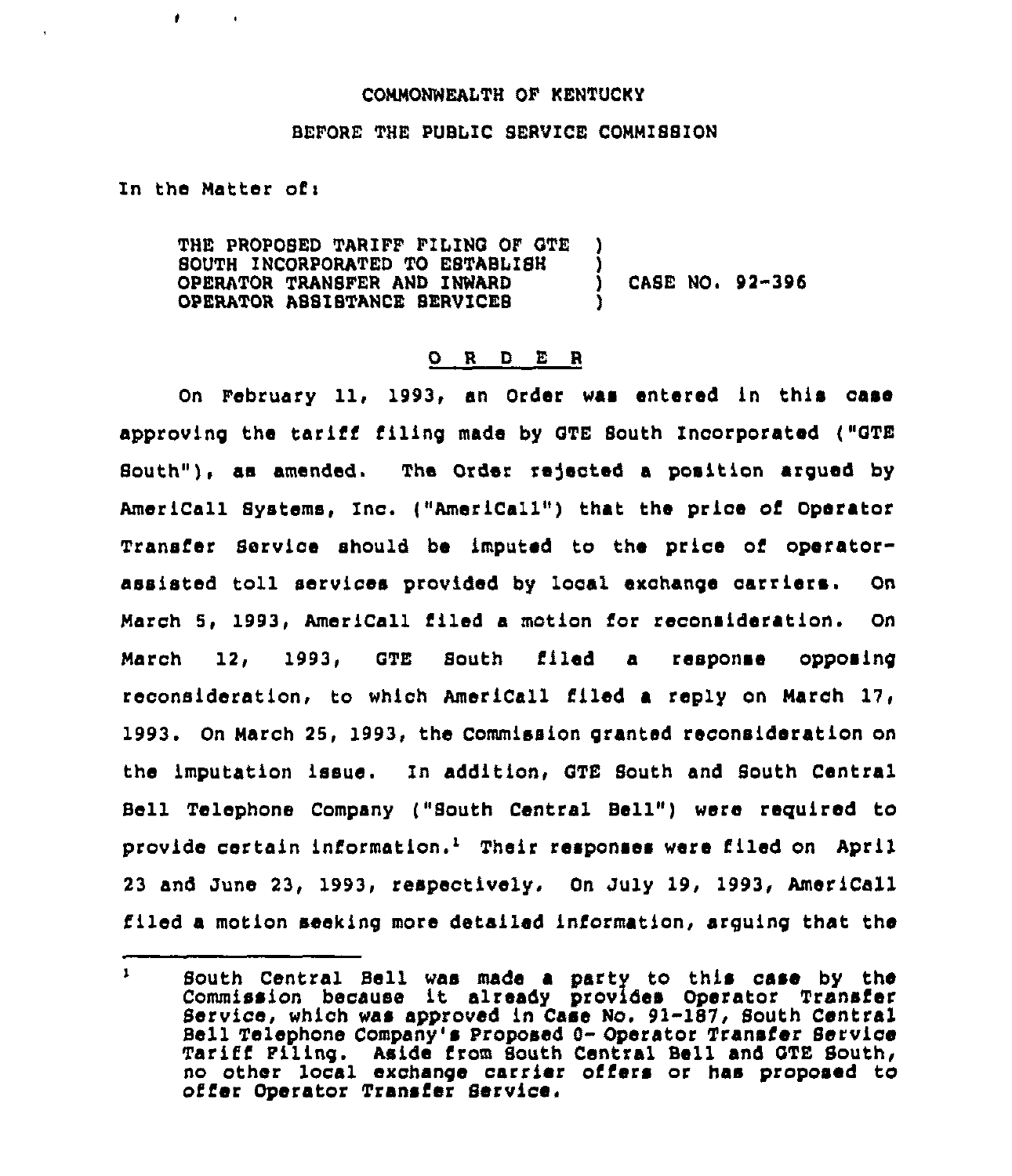## COMMONNEALTH OF KENTUCKY

## BEFORE THE PUBLIC SERVICE COMMISSION

In the Matter of $<sub>1</sub>$ </sub>

 $\bullet$ 

THE PROPOSED TARIFF FILING OF GTE )<br>SOUTH INCORPORATED TO ESTABLISH SOUTH INCORPORATED TO ESTABLISH )<br>OPERATOR TRANSFER AND INWARD OPERATOR TRANSFER AND INWARD ) CASE NO. 92-396 OPERATOR ASSISTANCE SERVICES )

## 0 <sup>R</sup> <sup>D</sup> E <sup>R</sup>

On February 11, 1993, an Order was entered in this oase approving the tariff filing made by GTE South Incorporated ("GTE South"), as amended. The Order rejected a position argued by AmeriCall Systems, Inc. ("AmeriCall") that the price of Operator Transfer Service should be imputed to the price of operatorassisted toll services provided by local exchange carriers. On March 5, 1993, AmeriCall filed a motion for reconsideration. On March 12, 1993, QTE South filed a response opposing reconsideration, to which AmeriCall filed a reply on March On March 25, 1993, the Commission granted reconsideration on the imputation issue. In addition, QTE South and South Central Bell Telephone Company ("South Central Bell") were required to provide certain information.'heir responses were filed on April 23 and June 23, 1993, respectively. On July 19, 1993, Amer iCall filed a motion seeking more detailed information, arguing that the

 $\mathbf{1}$ South Central Bell was made a party to this case by the Commission because it already provides Operator Transier Service, which was approved in Case No. 91-187, South Central Bell Telephone Company's Proposed 9- Operator Transfer Service Tariff Filing. Aside from South Central Bell and QTE South, no other local exchange carrier offers or has proposed to offer Operator Transfer Service.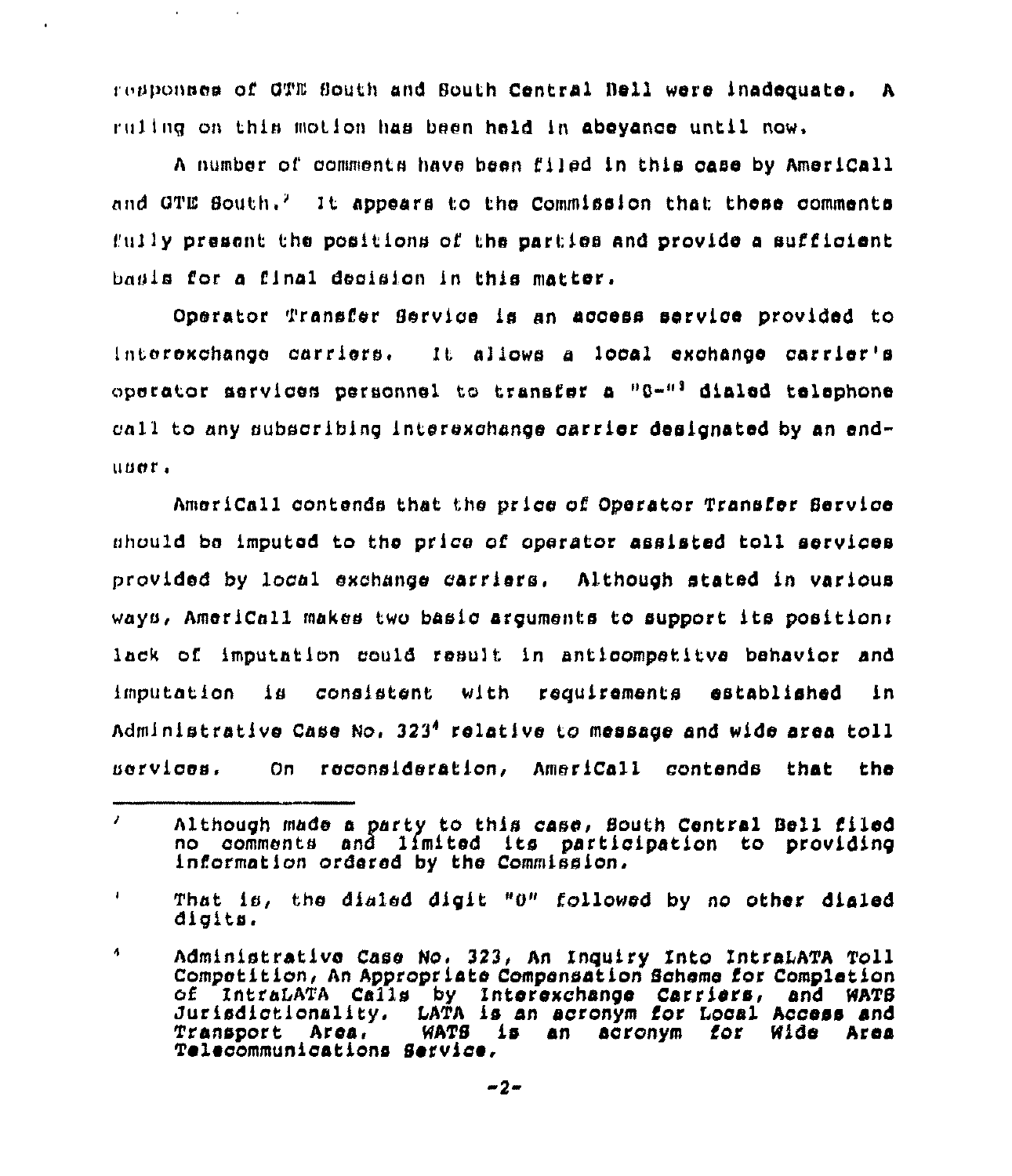responses of OTE South and South Central Bell were inadequate. A ruling on this motion has been held in abeyance until now,

<sup>A</sup> number of cammentn have hoon filod in this case by AmeriCall and GTE South.<sup>2</sup> It appears to the Commission that these comments  $f(0.11)$ y present the positions of the parties and provide a sufficient bnuis for a final decisIcn In this mattor,

Operator Transfer Service is an access service provided to Interexchange carriers. It allows a local exchange carrier's operator services personnel to transfer a  $00-11$  dialed telephone call to any subscribing interexchange carrier designated by an enduuor <sup>~</sup>

AmeriCall contends that the price of Operator Transfer Service should be imputed to the price of operator assisted toll services provided by local eschange carriers, Although stated in various ways, AmeriCall makes two basic arguments tc support its positions lack of imputation could result in anticompetitve behavior and imputation is consistent with requirements established in Administrative Case No. 323<sup>4</sup> relative to message and wide area toll uorvices. On reconsideration, AmeriCall contends that the

 $\lambda$ Although made a party to this case, Bouth Central Bell filed no comments and limited its participation to providing information ordered by the Commission,

 $\bullet$ That is, the dialed digit "0" followed by no other dialed digits.

 $\ddot{\phantom{a}}$ Administrative Case No. 323, An Inquiry Into IntraLATA Toll Competition, An Appropriate Compensation Scheme fcr Completicn of IntraLATA Calls by Interexchange Carriers, and WATS<br>Jurisdictionality, LATA is an acronym for Local Access and<br>Transport Area, WATS is an acronym for Wide Area WATS is an acronym for Wide Area Telecommunications Service,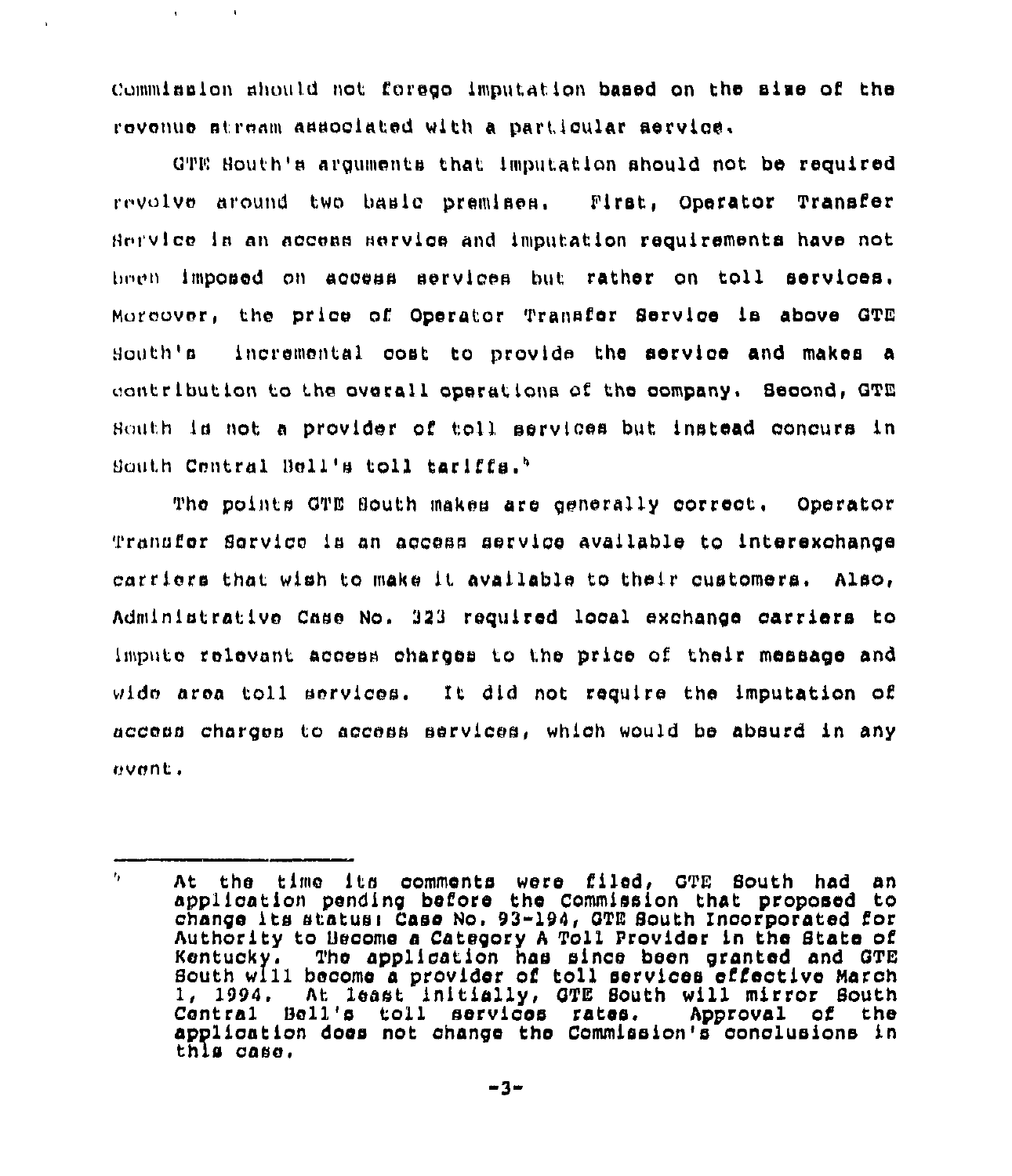Commission should not forego imputation based on the size of the revenue stream associated with a particular service.

 $QTE$  South's arguments that imputation should not be required revolve around two basic premises. First, Operator Transfer Hr <sup>i</sup> vlcc in an access norvice and imputation requirements have not hncn imposed on access services but rather on toll services. Moreover, the price cf Operator Transfer Service le above QTE Houth's incremental cost tc provide the service and makes a unntribution to the overall operations of the company. Second, GTE Houth is not a provider of toll services but instead concurs in South Central Bell's toll tariffs.<sup>5</sup>  $t$  tariffs

The points GTE South makes are generally correct, Operator Transfer Service is an access service available to interexchange carriers that wish to make it available to their customers. Also, Administrative Case No. 323 required local exchange carriers to impute relevant access chargos tc tho price af their message and wide area toll services. It did not require the imputation of access charges to access services, which would be absurd in any event.

 $\mathbf{r}_{\mathbf{r}}$  . At the time its comments were filed, QTE South had an application pending before the Commission that proposed to change its statuoi Caso Nc, 93-194, QTE South Incorporated for Authority to Become a Category A Toll Provider in the State of Kentucky. The application has since been granted and GTE The application has since been granted and GTE South will boccmo a prcvidor cf toll services effective March 1, 1994. At least initially, GTE South will mirror South<br>Central Bell's toll services rates. Approval of the Central Bell's toll services rates. applicaticn dcos nct chango tho Commission's conclusions in this casa,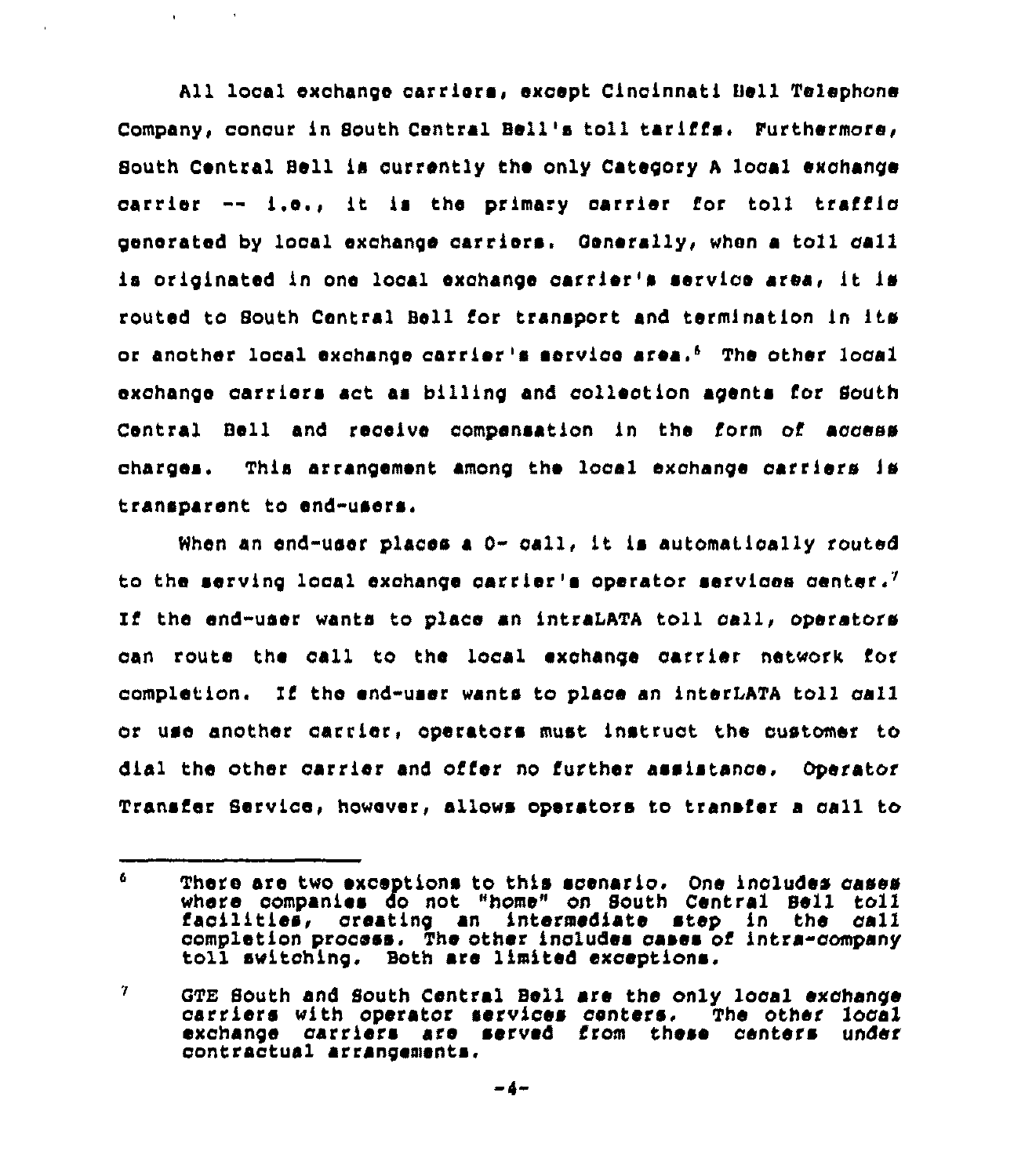All local exchange carriers, except Cincinnati Bell Telephone Company, concur in South Central Bell's toll tariffs. Furthermore, South Central Bell is ourrently the only Category <sup>A</sup> local exchange carrier -- i.e., it is the primary carrier for toll traffic generated by local exchange carriers. Generally, when a toll call is originated in one local exchange carrier's service area, it is routed to South Central Bell for transport and termination in its or another local exchange carrier's service area.<sup>6</sup> The other local exchange carriers act as billing and collection agents for South Central Bell and receive compensation in the form of access charges. This arrangement among the local exchange carriers is transparent to end-users.

 $\mathbf{q} = \mathbf{q}$ 

When an end-user places a  $0-$  call, it is automatically routed to the serving local exchange carrier's operator services center.<sup>7</sup> the end-user wants to place an intraLATA toll call, operators can route the eall to the local exchange carrier network for completion, If the end-user wants to place an interLATA toll eall or use another carrier, operators must instruct the customer to dial the other carrier and offer no further assistance. Operator Transfer Service, however, allows operators to transfer a eall to

<sup>6</sup> There are two exceptions to this scenario. One includes cases where companies do not "home" on South Central Sell toll facilities, creating an intermediate step in the call completion process, The other includes cases of intra-company toll switching. Both are limited exceptions.

<sup>7</sup> GTE South and South Central Bell are the only local exchange carriers with operator services centers. The other local exchange carriers are served from these centers under contractual arrangements.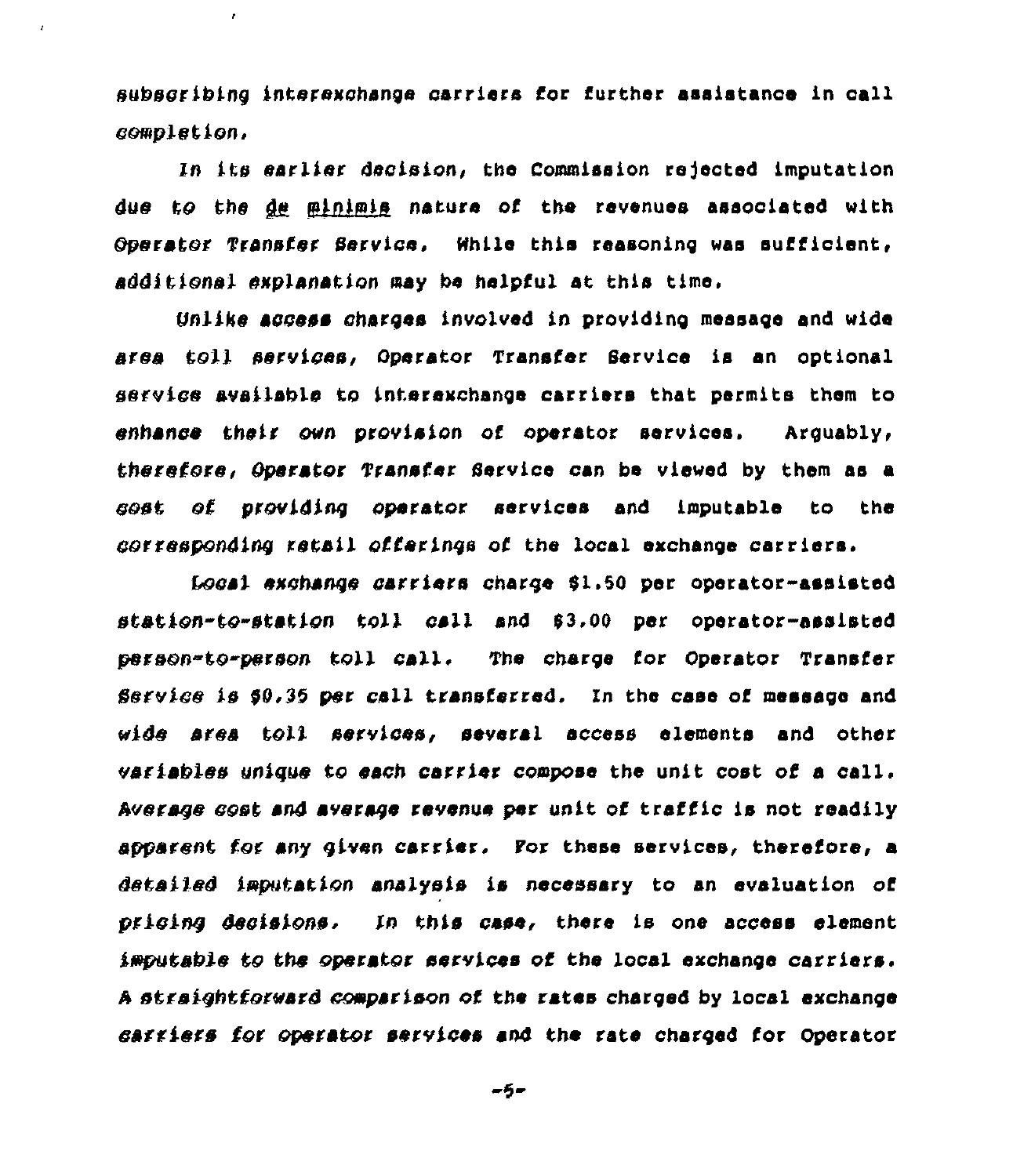subscribing lntaraxchange carriers for further asaistanoe in call completion,

 $\epsilon$ 

 $\lambda$ 

ln its earlier decision, the Commission rejected imputation due to the de minimis nature of the revenues associated with Operator Transfer Service. While this reasoning was sufficient, additional explanation may be helpful at this time.

Unlike access charges involved in providing message and wide area Coll services, Operator Transfer Service is an optional service availablo Co intecexchanga carriers that permits them to enhance their own provision of operator services. Arguably, therefore, Operator Transfer Service can be viewed by them as a cost of providing operator services and imputable to the corresponding retail offerings of the local exchange carriers.

4vcal exchange carriers charge 01.00 per operator-assisted station-co-station toll call and 03.00 per operator-assisted person-to-person toll call. The charge for Operator Transfer Service is \$0.35 per call transferred. In the case of message and wide area toll services, several access elements and other variables unique to each carriec compose the unit cost of a call. Average cost and average revenue per unit of traffic is not readily apparent for any given carrier. For these services, therefore, a detailed imputation analysis is necessary to an evaluation of pricing decisions. In this case, there is one access element imputabie Co the opscatoc services of the local exchange carriers. A straightforward comparison of the rates charged by local exchange carriers for operator secvices end Che cate charged for Opecatoc

-5-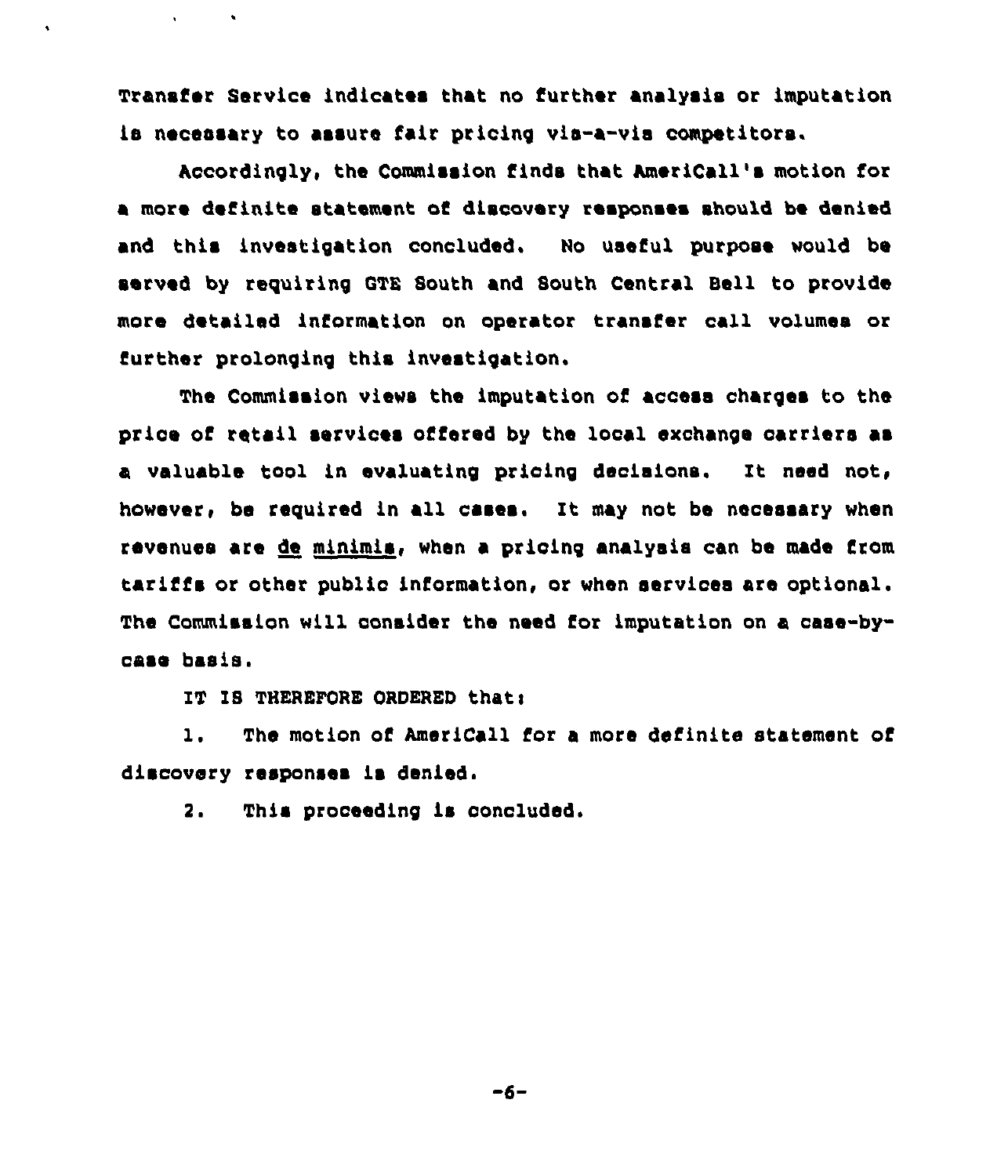Transfer Service indicates that no further analysis or imputation is necessary to assure fair pricing vis-a-vis competitors.

Accordingly, the Commission finds that AmeriCall's motion for a more definite statement of discovery responses should be denied and this investigation concluded. No useful purpose would be served by requiring QTE South and South Central Bell to provide more detailed information on operator transfer call volumes or further prolonging this investigation,

The Commission views the imputation of access charges to the price of retail services offered by the local exchange oarriers as a valuable tool in evaluating pricing decisions. It need not, however, be required in all cases. It may not be necessary when revenues are de minimis, when a prioing analysis can be made from tariffs or other public information, or when services are optional. The Commission will consider the need for imputation on a case-bycaso basis.

IT IS THEREFORE ORDERED that:

 $\sim 10$ 

1. The motion of AmeriCall for <sup>a</sup> more definite statement of discovery responses is denied.

2. This proceeding is concluded.

 $-6-$